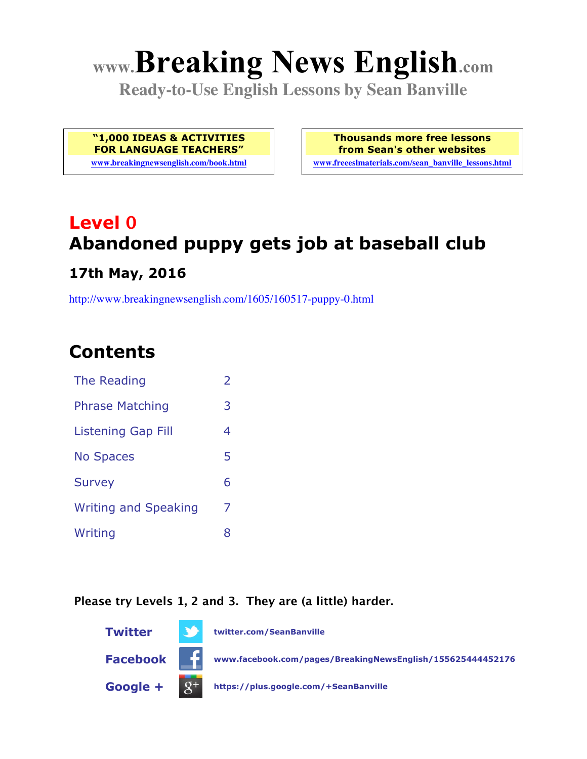# **www.Breaking News English.com**

**Ready-to-Use English Lessons by Sean Banville**

**"1,000 IDEAS & ACTIVITIES FOR LANGUAGE TEACHERS"**

**www.breakingnewsenglish.com/book.html**

**Thousands more free lessons from Sean's other websites www.freeeslmaterials.com/sean\_banville\_lessons.html**

## **Level 0 Abandoned puppy gets job at baseball club**

**17th May, 2016**

http://www.breakingnewsenglish.com/1605/160517-puppy-0.html

### **Contents**

| The Reading                 | $\overline{2}$ |
|-----------------------------|----------------|
| <b>Phrase Matching</b>      | 3              |
| <b>Listening Gap Fill</b>   | 4              |
| <b>No Spaces</b>            | 5              |
| <b>Survey</b>               | 6              |
| <b>Writing and Speaking</b> | 7              |
| Writing                     | 8              |

#### **Please try Levels 1, 2 and 3. They are (a little) harder.**

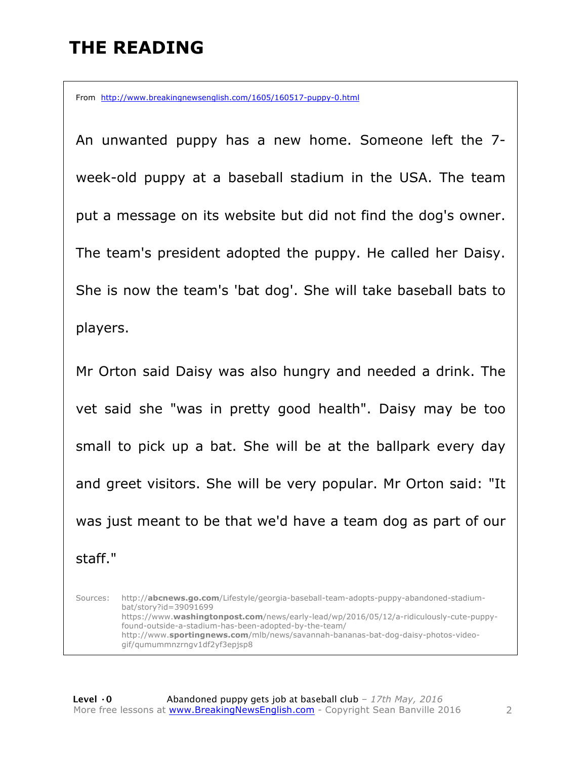### **THE READING**

From http://www.breakingnewsenglish.com/1605/160517-puppy-0.html

An unwanted puppy has a new home. Someone left the 7 week-old puppy at a baseball stadium in the USA. The team put a message on its website but did not find the dog's owner. The team's president adopted the puppy. He called her Daisy. She is now the team's 'bat dog'. She will take baseball bats to players.

Mr Orton said Daisy was also hungry and needed a drink. The vet said she "was in pretty good health". Daisy may be too small to pick up a bat. She will be at the ballpark every day and greet visitors. She will be very popular. Mr Orton said: "It was just meant to be that we'd have a team dog as part of our staff."

Sources: http://**abcnews.go.com**/Lifestyle/georgia-baseball-team-adopts-puppy-abandoned-stadiumbat/story?id=39091699 https://www.**washingtonpost.com**/news/early-lead/wp/2016/05/12/a-ridiculously-cute-puppyfound-outside-a-stadium-has-been-adopted-by-the-team/ http://www.**sportingnews.com**/mlb/news/savannah-bananas-bat-dog-daisy-photos-videogif/qumummnzrngv1df2yf3epjsp8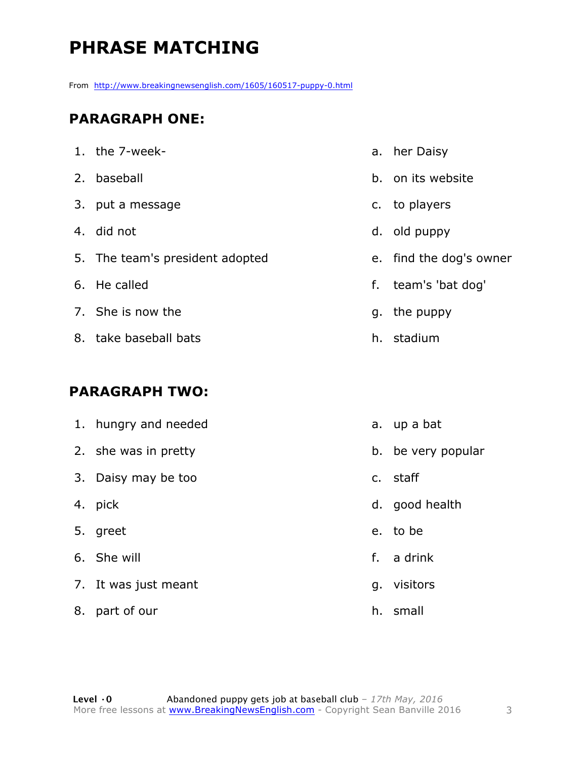### **PHRASE MATCHING**

From http://www.breakingnewsenglish.com/1605/160517-puppy-0.html

#### **PARAGRAPH ONE:**

| 1. the 7-week-                  | a. her Daisy         |
|---------------------------------|----------------------|
| 2. baseball                     | b. on its website    |
| 3. put a message                | c. to players        |
| 4. did not                      | d. old puppy         |
| 5. The team's president adopted | e. find the dog's ov |
| 6. He called                    | f. team's 'bat dog'  |
| 7. She is now the               | g. the puppy         |
| 8. take baseball bats           | h. stadium           |

#### **PARAGRAPH TWO:**

|    | 1. hungry and needed |    | a. up a bat        |
|----|----------------------|----|--------------------|
|    | 2. she was in pretty |    | b. be very popular |
|    | 3. Daisy may be too  |    | c. staff           |
|    | 4. pick              |    | d. good health     |
|    | 5. greet             |    | e. to be           |
|    | 6. She will          |    | f. a drink         |
|    | 7. It was just meant |    | g. visitors        |
| 8. | part of our          | h. | small              |

dog's owner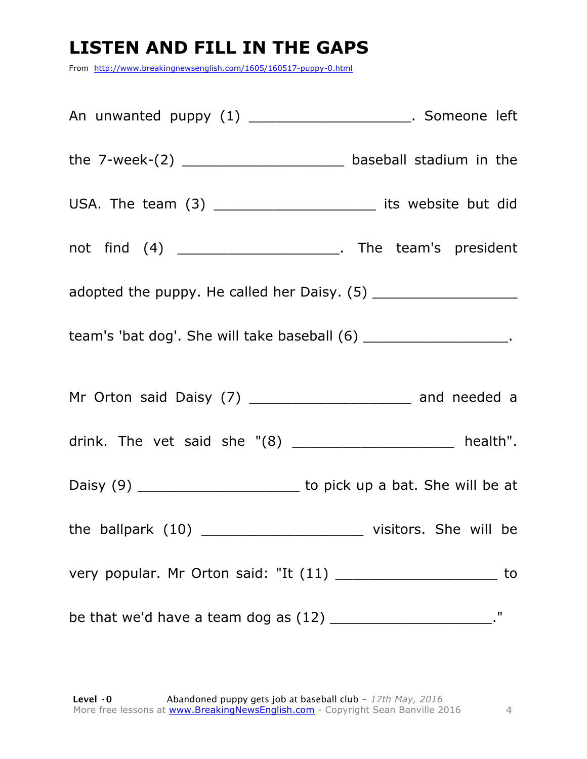### **LISTEN AND FILL IN THE GAPS**

From http://www.breakingnewsenglish.com/1605/160517-puppy-0.html

| An unwanted puppy (1) _______________________. Someone left         |    |
|---------------------------------------------------------------------|----|
|                                                                     |    |
| USA. The team (3) __________________________ its website but did    |    |
| not find (4) _______________________. The team's president          |    |
|                                                                     |    |
| team's 'bat dog'. She will take baseball (6) _____________________. |    |
|                                                                     |    |
| drink. The vet said she "(8) _____________________ health".         |    |
|                                                                     |    |
| the ballpark $(10)$ _________<br>visitors. She will be              |    |
|                                                                     | to |
|                                                                     | п  |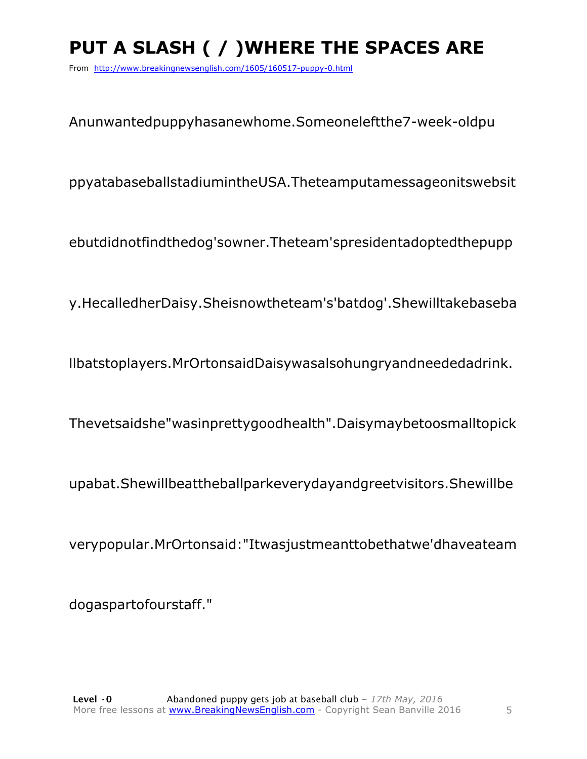### **PUT A SLASH ( / )WHERE THE SPACES ARE**

From http://www.breakingnewsenglish.com/1605/160517-puppy-0.html

Anunwantedpuppyhasanewhome.Someoneleftthe7-week-oldpu

ppyatabaseballstadiumintheUSA.Theteamputamessageonitswebsit

ebutdidnotfindthedog'sowner.Theteam'spresidentadoptedthepupp

y.HecalledherDaisy.Sheisnowtheteam's'batdog'.Shewilltakebaseba

llbatstoplayers.MrOrtonsaidDaisywasalsohungryandneededadrink.

Thevetsaidshe"wasinprettygoodhealth".Daisymaybetoosmalltopick

upabat.Shewillbeattheballparkeverydayandgreetvisitors.Shewillbe

verypopular.MrOrtonsaid:"Itwasjustmeanttobethatwe'dhaveateam

dogaspartofourstaff."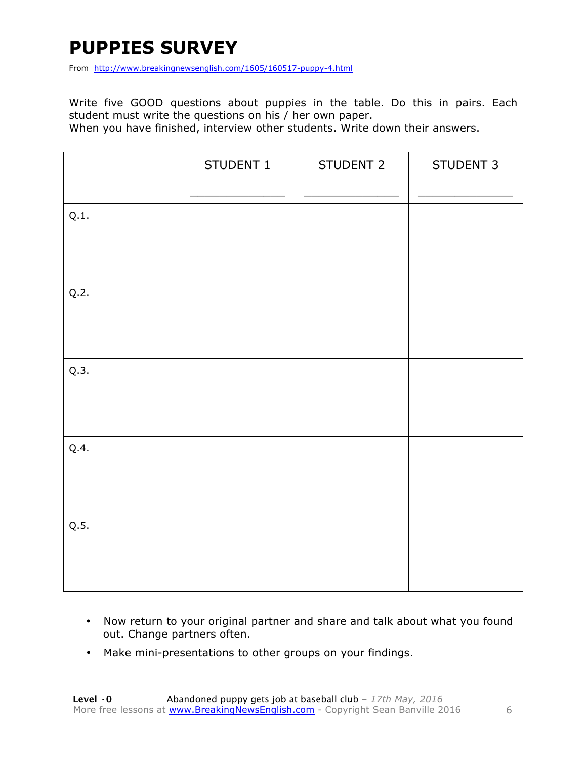### **PUPPIES SURVEY**

From http://www.breakingnewsenglish.com/1605/160517-puppy-4.html

Write five GOOD questions about puppies in the table. Do this in pairs. Each student must write the questions on his / her own paper.

When you have finished, interview other students. Write down their answers.

|      | STUDENT 1 | STUDENT 2 | STUDENT 3 |
|------|-----------|-----------|-----------|
| Q.1. |           |           |           |
| Q.2. |           |           |           |
| Q.3. |           |           |           |
| Q.4. |           |           |           |
| Q.5. |           |           |           |

- Now return to your original partner and share and talk about what you found out. Change partners often.
- Make mini-presentations to other groups on your findings.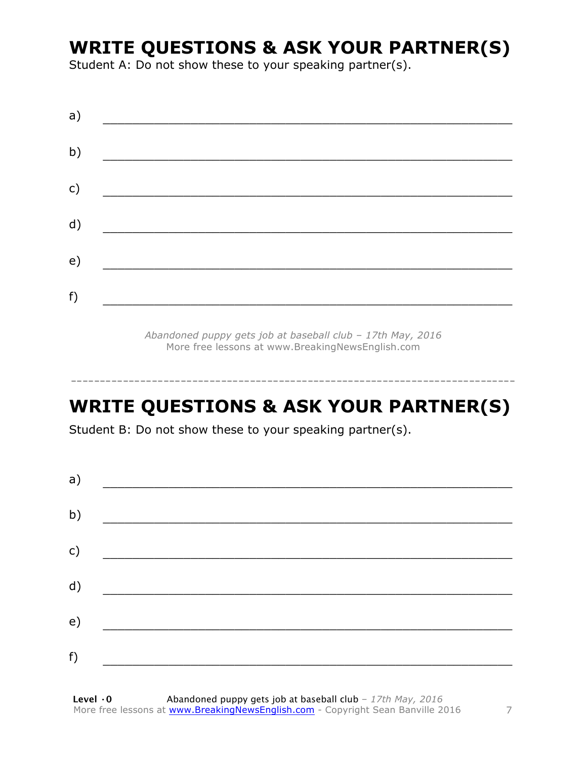### **WRITE QUESTIONS & ASK YOUR PARTNER(S)**

Student A: Do not show these to your speaking partner(s).

| a) |                                             |  |  |
|----|---------------------------------------------|--|--|
| b) |                                             |  |  |
| c) |                                             |  |  |
| d) | <u> 1980 - Jan Barbara Barat III, martx</u> |  |  |
| e) |                                             |  |  |
| f) |                                             |  |  |
|    |                                             |  |  |

*Abandoned puppy gets job at baseball club – 17th May, 2016* More free lessons at www.BreakingNewsEnglish.com

### **WRITE QUESTIONS & ASK YOUR PARTNER(S)**

-----------------------------------------------------------------------------

Student B: Do not show these to your speaking partner(s).

| a) |  |  |
|----|--|--|
| b) |  |  |
| c) |  |  |
| d) |  |  |
| e) |  |  |
| f) |  |  |
|    |  |  |